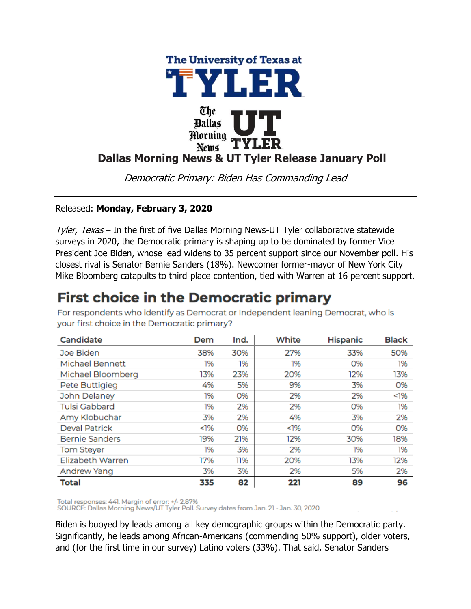

Democratic Primary: Biden Has Commanding Lead

### Released: **Monday, February 3, 2020**

Tyler, Texas – In the first of five Dallas Morning News-UT Tyler collaborative statewide surveys in 2020, the Democratic primary is shaping up to be dominated by former Vice President Joe Biden, whose lead widens to 35 percent support since our November poll. His closest rival is Senator Bernie Sanders (18%). Newcomer former-mayor of New York City Mike Bloomberg catapults to third-place contention, tied with Warren at 16 percent support.

# **First choice in the Democratic primary**

| Candidate              | Dem | Ind. | White | <b>Hispanic</b> | <b>Black</b> |
|------------------------|-----|------|-------|-----------------|--------------|
| Joe Biden              | 38% | 30%  | 27%   | 33%             | 50%          |
| <b>Michael Bennett</b> | 1%  | 1%   | 1%    | O%              | 1%           |
| Michael Bloomberg      | 13% | 23%  | 20%   | 12%             | 13%          |
| Pete Buttigieg         | 4%  | 5%   | 9%    | 3%              | 0%           |
| John Delaney           | 1%  | 0%   | 2%    | 2%              | 1%           |
| <b>Tulsi Gabbard</b>   | 1%  | 2%   | 2%    | 0%              | 1%           |
| Amy Klobuchar          | 3%  | 2%   | 4%    | 3%              | 2%           |
| <b>Deval Patrick</b>   | 1%  | O%   | <1%   | 0%              | 0%           |
| <b>Bernie Sanders</b>  | 19% | 21%  | 12%   | 30%             | 18%          |
| <b>Tom Steyer</b>      | 1%  | 3%   | 2%    | 1%              | 1%           |
| Elizabeth Warren       | 17% | 11%  | 20%   | 13%             | 12%          |
| <b>Andrew Yang</b>     | 3%  | 3%   | 2%    | 5%              | 2%           |
| <b>Total</b>           | 335 | 82   | 221   | 89              | 96           |

For respondents who identify as Democrat or Independent leaning Democrat, who is your first choice in the Democratic primary?

Total responses: 441. Margin of error: +/- 2.87% SOURCE: Dallas Morning News/UT Tyler Poll. Survey dates from Jan. 21 - Jan. 30, 2020

Biden is buoyed by leads among all key demographic groups within the Democratic party. Significantly, he leads among African-Americans (commending 50% support), older voters, and (for the first time in our survey) Latino voters (33%). That said, Senator Sanders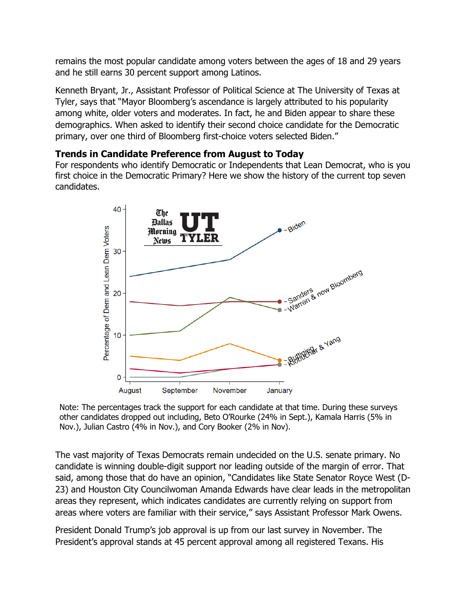remains the most popular candidate among voters between the ages of 18 and 29 years and he still earns 30 percent support among Latinos.

Kenneth Bryant, Jr., Assistant Professor of Political Science at The University of Texas at Tyler, says that "Mayor Bloomberg's ascendance is largely attributed to his popularity among white, older voters and moderates. In fact, he and Biden appear to share these demographics. When asked to identify their second choice candidate for the Democratic primary, over one third of Bloomberg first-choice voters selected Biden."

#### **Trends in Candidate Preference from August to Today**

For respondents who identify Democratic or Independents that Lean Democrat, who is you first choice in the Democratic Primary? Here we show the history of the current top seven candidates.



Note: The percentages track the support for each candidate at that time. During these surveys other candidates dropped out including, Beto O'Rourke (24% in Sept.), Kamala Harris (5% in Nov.), Julian Castro (4% in Nov.), and Cory Booker (2% in Nov).

The vast majority of Texas Democrats remain undecided on the U.S. senate primary. No candidate is winning double-digit support nor leading outside of the margin of error. That said, among those that do have an opinion, "Candidates like State Senator Royce West (D-23) and Houston City Councilwoman Amanda Edwards have clear leads in the metropolitan areas they represent, which indicates candidates are currently relying on support from areas where voters are familiar with their service," says Assistant Professor Mark Owens.

President Donald Trump's job approval is up from our last survey in November. The President's approval stands at 45 percent approval among all registered Texans. His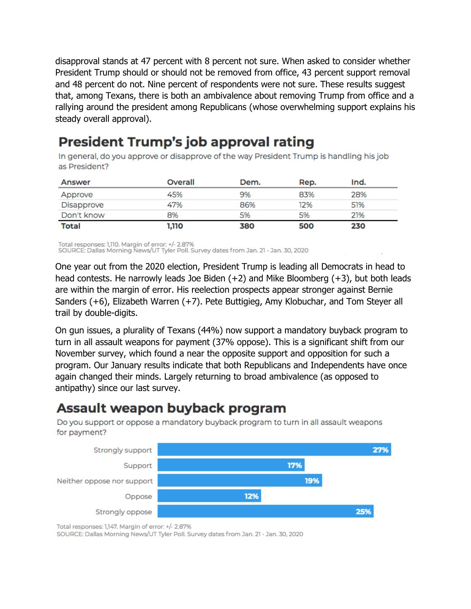disapproval stands at 47 percent with 8 percent not sure. When asked to consider whether President Trump should or should not be removed from office, 43 percent support removal and 48 percent do not. Nine percent of respondents were not sure. These results suggest that, among Texans, there is both an ambivalence about removing Trump from office and a rallying around the president among Republicans (whose overwhelming support explains his steady overall approval).

# **President Trump's job approval rating**

In general, do you approve or disapprove of the way President Trump is handling his job as President?

| Answer       | Overall | Dem. | Rep. | Ind. |
|--------------|---------|------|------|------|
| Approve      | 45%     | 9%   | 83%  | 28%  |
| Disapprove   | 47%     | 86%  | 12%  | 51%  |
| Don't know   | 8%      | 5%   | 5%   | 21%  |
| <b>Total</b> | 1,110   | 380  | 500  | 230  |

Total responses: 1,110. Margin of error: +/- 2.87%

SOURCE: Dallas Morning News/UT Tyler Poll. Survey dates from Jan. 21 - Jan. 30, 2020

One year out from the 2020 election, President Trump is leading all Democrats in head to head contests. He narrowly leads Joe Biden (+2) and Mike Bloomberg (+3), but both leads are within the margin of error. His reelection prospects appear stronger against Bernie Sanders (+6), Elizabeth Warren (+7). Pete Buttigieg, Amy Klobuchar, and Tom Steyer all trail by double-digits.

On gun issues, a plurality of Texans (44%) now support a mandatory buyback program to turn in all assault weapons for payment (37% oppose). This is a significant shift from our November survey, which found a near the opposite support and opposition for such a program. Our January results indicate that both Republicans and Independents have once again changed their minds. Largely returning to broad ambivalence (as opposed to antipathy) since our last survey.

### Assault weapon buyback program

Do you support or oppose a mandatory buyback program to turn in all assault weapons for payment?



Total responses: 1,147. Margin of error: +/- 2.87%

SOURCE: Dallas Morning News/UT Tyler Poll. Survey dates from Jan. 21 - Jan. 30, 2020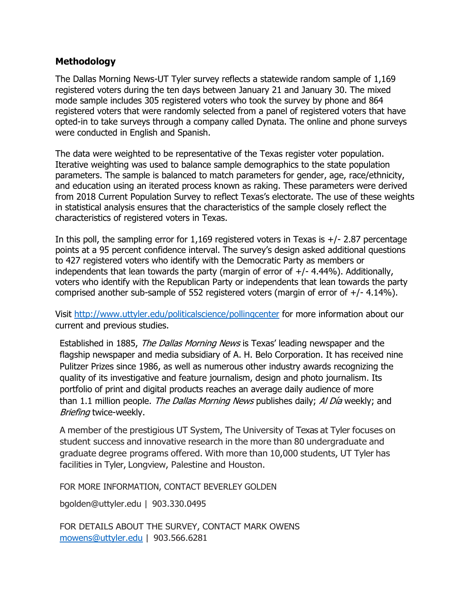#### **Methodology**

The Dallas Morning News-UT Tyler survey reflects a statewide random sample of 1,169 registered voters during the ten days between January 21 and January 30. The mixed mode sample includes 305 registered voters who took the survey by phone and 864 registered voters that were randomly selected from a panel of registered voters that have opted-in to take surveys through a company called Dynata. The online and phone surveys were conducted in English and Spanish.

The data were weighted to be representative of the Texas register voter population. Iterative weighting was used to balance sample demographics to the state population parameters. The sample is balanced to match parameters for gender, age, race/ethnicity, and education using an iterated process known as raking. These parameters were derived from 2018 Current Population Survey to reflect Texas's electorate. The use of these weights in statistical analysis ensures that the characteristics of the sample closely reflect the characteristics of registered voters in Texas.

In this poll, the sampling error for  $1,169$  registered voters in Texas is  $+/- 2.87$  percentage points at a 95 percent confidence interval. The survey's design asked additional questions to 427 registered voters who identify with the Democratic Party as members or independents that lean towards the party (margin of error of  $+/- 4.44\%$ ). Additionally, voters who identify with the Republican Party or independents that lean towards the party comprised another sub-sample of 552 registered voters (margin of error of  $+/- 4.14\%$ ).

Visit<http://www.uttyler.edu/politicalscience/pollingcenter> for more information about our current and previous studies.

Established in 1885, *The Dallas Morning News* is Texas' leading newspaper and the flagship newspaper and media subsidiary of A. H. Belo Corporation. It has received nine Pulitzer Prizes since 1986, as well as numerous other industry awards recognizing the quality of its investigative and feature journalism, design and photo journalism. Its portfolio of print and digital products reaches an average daily audience of more than 1.1 million people. The Dallas Morning News publishes daily; Al Día weekly; and Briefing twice-weekly.

A member of the prestigious UT System, The University of Texas at Tyler focuses on student success and innovative research in the more than 80 undergraduate and graduate degree programs offered. With more than 10,000 students, UT Tyler has facilities in Tyler, Longview, Palestine and Houston.

FOR MORE INFORMATION, CONTACT BEVERLEY GOLDEN

[bgolden@uttyler.edu](mailto:bgolden@uttyler.edu) | 903.330.0495

FOR DETAILS ABOUT THE SURVEY, CONTACT MARK OWENS [mowens@uttyler.edu](mailto:mowens@uttyler.edu) | 903.566.6281